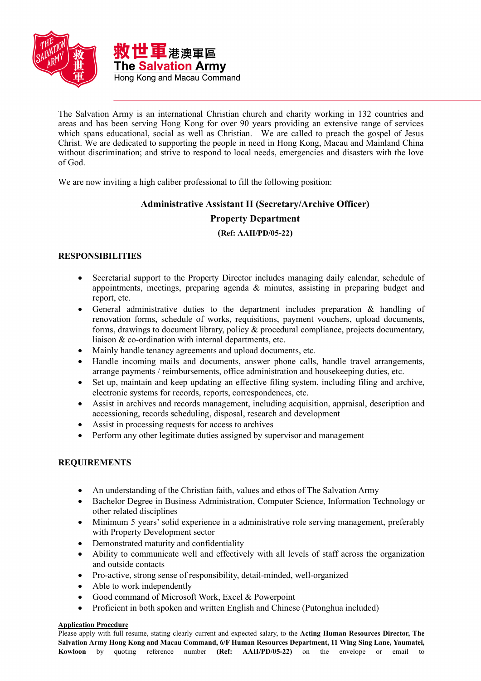

The Salvation Army is an international Christian church and charity working in 132 countries and areas and has been serving Hong Kong for over 90 years providing an extensive range of services which spans educational, social as well as Christian. We are called to preach the gospel of Jesus Christ. We are dedicated to supporting the people in need in Hong Kong, Macau and Mainland China without discrimination; and strive to respond to local needs, emergencies and disasters with the love of God.

We are now inviting a high caliber professional to fill the following position:

# **Administrative Assistant II (Secretary/Archive Officer)**

## **Property Department**

## **(Ref: AAII/PD/05-22)**

## **RESPONSIBILITIES**

- Secretarial support to the Property Director includes managing daily calendar, schedule of appointments, meetings, preparing agenda  $\&$  minutes, assisting in preparing budget and report, etc.
- General administrative duties to the department includes preparation & handling of renovation forms, schedule of works, requisitions, payment vouchers, upload documents, forms, drawings to document library, policy & procedural compliance, projects documentary, liaison & co-ordination with internal departments, etc.
- Mainly handle tenancy agreements and upload documents, etc.
- Handle incoming mails and documents, answer phone calls, handle travel arrangements, arrange payments / reimbursements, office administration and housekeeping duties, etc.
- Set up, maintain and keep updating an effective filing system, including filing and archive, electronic systems for records, reports, correspondences, etc.
- Assist in archives and records management, including acquisition, appraisal, description and accessioning, records scheduling, disposal, research and development
- Assist in processing requests for access to archives
- Perform any other legitimate duties assigned by supervisor and management

## **REQUIREMENTS**

- An understanding of the Christian faith, values and ethos of The Salvation Army
- Bachelor Degree in Business Administration, Computer Science, Information Technology or other related disciplines
- Minimum 5 years' solid experience in a administrative role serving management, preferably with Property Development sector
- Demonstrated maturity and confidentiality
- Ability to communicate well and effectively with all levels of staff across the organization and outside contacts
- Pro-active, strong sense of responsibility, detail-minded, well-organized
- Able to work independently
- Good command of Microsoft Work, Excel & Powerpoint
- Proficient in both spoken and written English and Chinese (Putonghua included)

## **Application Procedure**